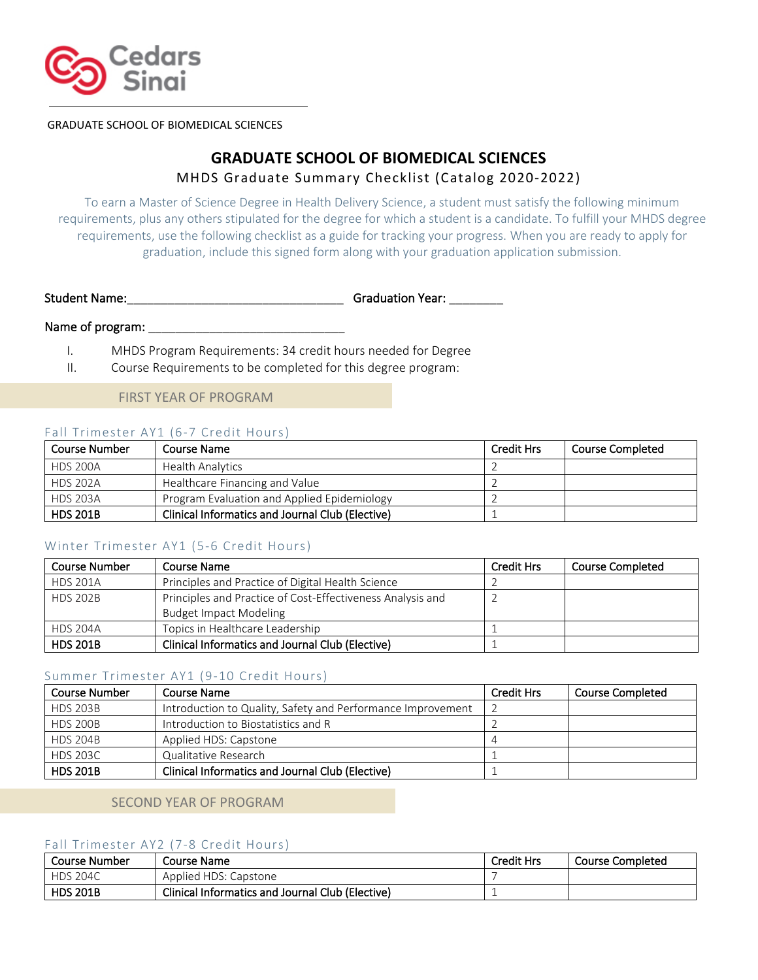

GRADUATE SCHOOL OF BIOMEDICAL SCIENCES

# **GRADUATE SCHOOL OF BIOMEDICAL SCIENCES** MHDS Graduate Summary Checklist (Catalog 2020-2022)

To earn a Master of Science Degree in Health Delivery Science, a student must satisfy the following minimum requirements, plus any others stipulated for the degree for which a student is a candidate. To fulfill your MHDS degree requirements, use the following checklist as a guide for tracking your progress. When you are ready to apply for graduation, include this signed form along with your graduation application submission.

Student Name:\_\_\_\_\_\_\_\_\_\_\_\_\_\_\_\_\_\_\_\_\_\_\_\_\_\_\_\_\_\_\_\_ Graduation Year: \_\_\_\_\_\_\_\_

### Name of program:

I. MHDS Program Requirements: 34 credit hours needed for Degree

II. Course Requirements to be completed for this degree program:

# FIRST YEAR OF PROGRAM

# Fall Trimester AY1 (6-7 Credit Hours)

| Course Number   | Course Name                                      | <b>Credit Hrs</b> | <b>Course Completed</b> |
|-----------------|--------------------------------------------------|-------------------|-------------------------|
| <b>HDS 200A</b> | <b>Health Analytics</b>                          |                   |                         |
| <b>HDS 202A</b> | Healthcare Financing and Value                   |                   |                         |
| <b>HDS 203A</b> | Program Evaluation and Applied Epidemiology      |                   |                         |
| <b>HDS 201B</b> | Clinical Informatics and Journal Club (Elective) |                   |                         |

### Winter Trimester AY1 (5-6 Credit Hours)

| <b>Course Number</b> | Course Name                                                | <b>Credit Hrs</b> | <b>Course Completed</b> |
|----------------------|------------------------------------------------------------|-------------------|-------------------------|
| <b>HDS 201A</b>      | Principles and Practice of Digital Health Science          |                   |                         |
| <b>HDS 202B</b>      | Principles and Practice of Cost-Effectiveness Analysis and |                   |                         |
|                      | <b>Budget Impact Modeling</b>                              |                   |                         |
| <b>HDS 204A</b>      | Topics in Healthcare Leadership                            |                   |                         |
| <b>HDS 201B</b>      | <b>Clinical Informatics and Journal Club (Elective)</b>    |                   |                         |

### Summer Trimester AY1 (9-10 Credit Hours)

| Course Number   | Course Name                                                 | <b>Credit Hrs</b> | <b>Course Completed</b> |
|-----------------|-------------------------------------------------------------|-------------------|-------------------------|
| <b>HDS 203B</b> | Introduction to Quality, Safety and Performance Improvement |                   |                         |
| <b>HDS 200B</b> | Introduction to Biostatistics and R                         |                   |                         |
| <b>HDS 204B</b> | Applied HDS: Capstone                                       |                   |                         |
| <b>HDS 203C</b> | Qualitative Research                                        |                   |                         |
| <b>HDS 201B</b> | <b>Clinical Informatics and Journal Club (Elective)</b>     |                   |                         |

### SECOND YEAR OF PROGRAM

# Fall Trimester AY2 (7-8 Credit Hours)

| Course Number   | Course Name                                      | <b>Credit Hrs</b> | Course Completed |
|-----------------|--------------------------------------------------|-------------------|------------------|
| <b>HDS 204C</b> | Applied HDS: Capstone                            |                   |                  |
| <b>HDS 201B</b> | Clinical Informatics and Journal Club (Elective) |                   |                  |